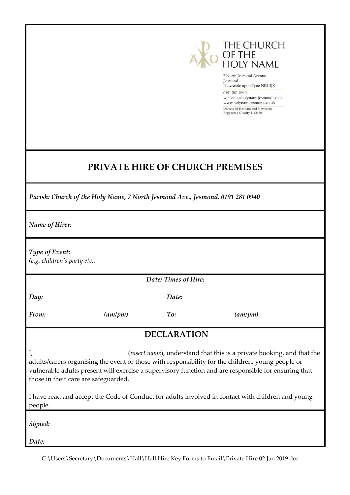

7 North Jesmond Avenue Jesmond Newcastle upon Tyne NE2 3JX 0191 281 0940 welcome@holynamejesmond.co.uk www.holynamejesmond.co.uk Diocese of Hexham and Newcastle Registered Charity 1143450

## **PRIVATE HIRE OF CHURCH PREMISES**

*Parish: Church of the Holy Name, 7 North Jesmond Ave., Jesmond. 0191 281 0940*

*Name of Hirer:*

*Type of Event:*

*(e.g. children's party etc.)*

*Date/ Times of Hire:*

*Day:*

*Date:*

*From: (am/pm) To: (am/pm)*

### **DECLARATION**

I, (*insert name*), understand that this is a private booking, and that the adults/carers organising the event or those with responsibility for the children, young people or vulnerable adults present will exercise a supervisory function and are responsible for ensuring that those in their care are safeguarded.

I have read and accept the Code of Conduct for adults involved in contact with children and young people.

*Signed:*

*Date:*

C:\Users\Secretary\Documents\Hall\Hall Hire Key Forms to Email\Private Hire 02 Jan 2019.doc